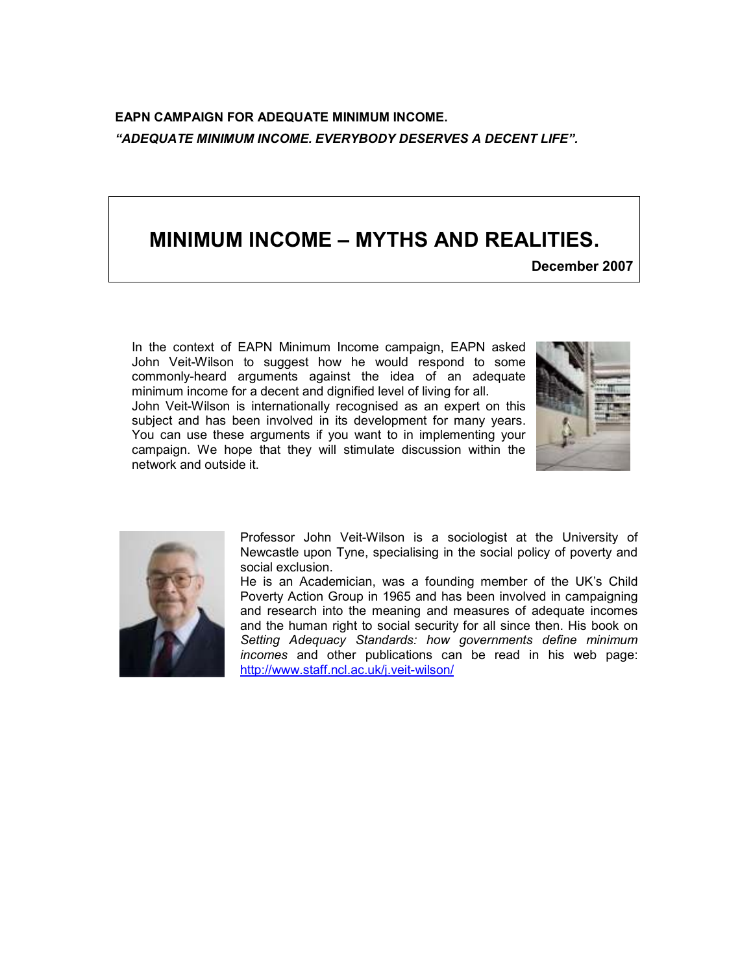EAPN CAMPAIGN FOR ADEQUATE MINIMUM INCOME. "ADEQUATE MINIMUM INCOME. EVERYBODY DESERVES A DECENT LIFE".

# MINIMUM INCOME – MYTHS AND REALITIES.

December 2007

In the context of EAPN Minimum Income campaign, EAPN asked John Veit-Wilson to suggest how he would respond to some commonly-heard arguments against the idea of an adequate minimum income for a decent and dignified level of living for all.

John Veit-Wilson is internationally recognised as an expert on this subject and has been involved in its development for many years. You can use these arguments if you want to in implementing your campaign. We hope that they will stimulate discussion within the network and outside it.





Professor John Veit-Wilson is a sociologist at the University of Newcastle upon Tyne, specialising in the social policy of poverty and social exclusion.

He is an Academician, was a founding member of the UK's Child Poverty Action Group in 1965 and has been involved in campaigning and research into the meaning and measures of adequate incomes and the human right to social security for all since then. His book on Setting Adequacy Standards: how governments define minimum incomes and other publications can be read in his web page: http://www.staff.ncl.ac.uk/j.veit-wilson/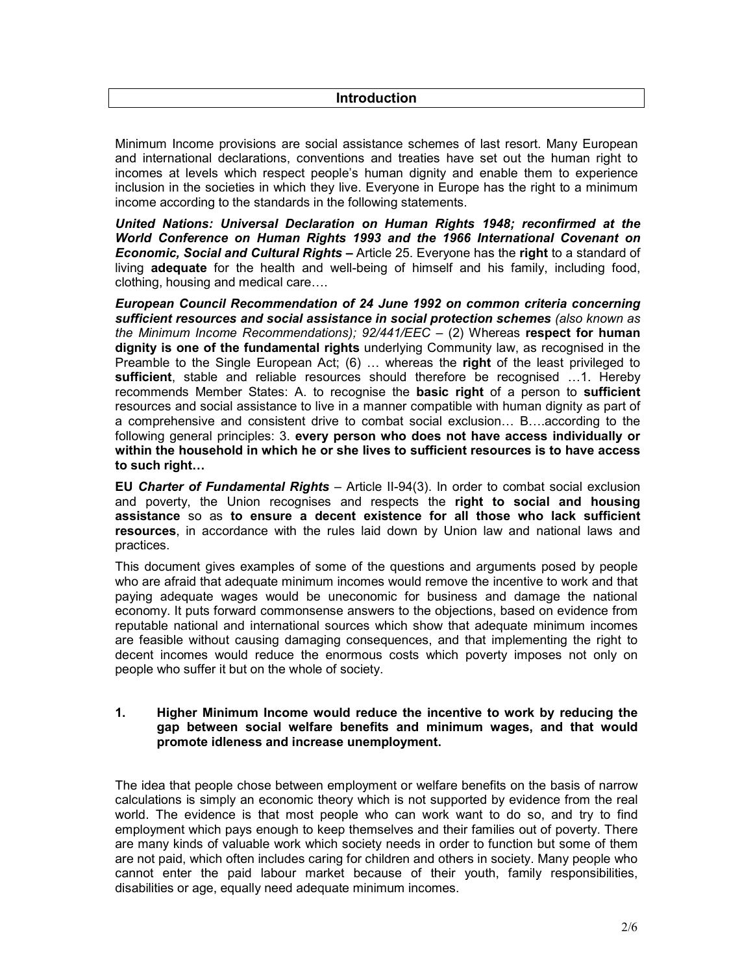## **Introduction**

Minimum Income provisions are social assistance schemes of last resort. Many European and international declarations, conventions and treaties have set out the human right to incomes at levels which respect people's human dignity and enable them to experience inclusion in the societies in which they live. Everyone in Europe has the right to a minimum income according to the standards in the following statements.

United Nations: Universal Declaration on Human Rights 1948; reconfirmed at the World Conference on Human Rights 1993 and the 1966 International Covenant on **Economic, Social and Cultural Rights –** Article 25. Everyone has the right to a standard of living adequate for the health and well-being of himself and his family, including food, clothing, housing and medical care….

European Council Recommendation of 24 June 1992 on common criteria concerning sufficient resources and social assistance in social protection schemes (also known as the Minimum Income Recommendations);  $92/441/EEC - (2)$  Whereas respect for human dignity is one of the fundamental rights underlying Community law, as recognised in the Preamble to the Single European Act; (6) … whereas the right of the least privileged to sufficient, stable and reliable resources should therefore be recognised …1. Hereby recommends Member States: A. to recognise the basic right of a person to sufficient resources and social assistance to live in a manner compatible with human dignity as part of a comprehensive and consistent drive to combat social exclusion… B….according to the following general principles: 3. every person who does not have access individually or within the household in which he or she lives to sufficient resources is to have access to such right…

EU Charter of Fundamental Rights - Article II-94(3). In order to combat social exclusion and poverty, the Union recognises and respects the right to social and housing assistance so as to ensure a decent existence for all those who lack sufficient resources, in accordance with the rules laid down by Union law and national laws and practices.

This document gives examples of some of the questions and arguments posed by people who are afraid that adequate minimum incomes would remove the incentive to work and that paying adequate wages would be uneconomic for business and damage the national economy. It puts forward commonsense answers to the objections, based on evidence from reputable national and international sources which show that adequate minimum incomes are feasible without causing damaging consequences, and that implementing the right to decent incomes would reduce the enormous costs which poverty imposes not only on people who suffer it but on the whole of society.

#### 1. Higher Minimum Income would reduce the incentive to work by reducing the gap between social welfare benefits and minimum wages, and that would promote idleness and increase unemployment.

The idea that people chose between employment or welfare benefits on the basis of narrow calculations is simply an economic theory which is not supported by evidence from the real world. The evidence is that most people who can work want to do so, and try to find employment which pays enough to keep themselves and their families out of poverty. There are many kinds of valuable work which society needs in order to function but some of them are not paid, which often includes caring for children and others in society. Many people who cannot enter the paid labour market because of their youth, family responsibilities, disabilities or age, equally need adequate minimum incomes.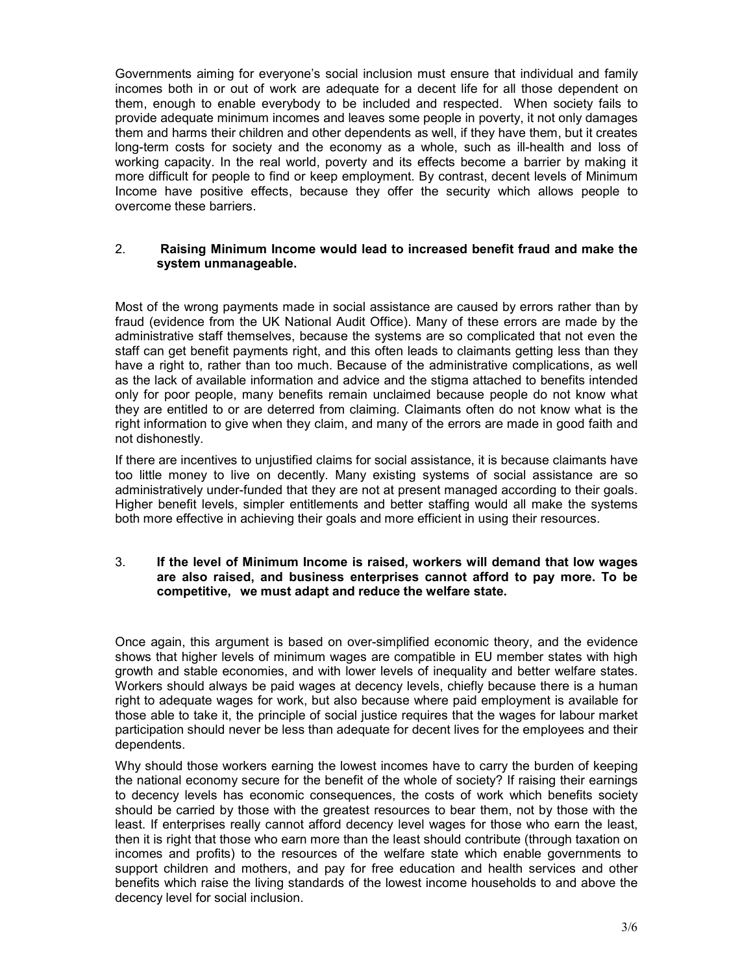Governments aiming for everyone's social inclusion must ensure that individual and family incomes both in or out of work are adequate for a decent life for all those dependent on them, enough to enable everybody to be included and respected. When society fails to provide adequate minimum incomes and leaves some people in poverty, it not only damages them and harms their children and other dependents as well, if they have them, but it creates long-term costs for society and the economy as a whole, such as ill-health and loss of working capacity. In the real world, poverty and its effects become a barrier by making it more difficult for people to find or keep employment. By contrast, decent levels of Minimum Income have positive effects, because they offer the security which allows people to overcome these barriers.

#### 2. Raising Minimum Income would lead to increased benefit fraud and make the system unmanageable.

Most of the wrong payments made in social assistance are caused by errors rather than by fraud (evidence from the UK National Audit Office). Many of these errors are made by the administrative staff themselves, because the systems are so complicated that not even the staff can get benefit payments right, and this often leads to claimants getting less than they have a right to, rather than too much. Because of the administrative complications, as well as the lack of available information and advice and the stigma attached to benefits intended only for poor people, many benefits remain unclaimed because people do not know what they are entitled to or are deterred from claiming. Claimants often do not know what is the right information to give when they claim, and many of the errors are made in good faith and not dishonestly.

If there are incentives to unjustified claims for social assistance, it is because claimants have too little money to live on decently. Many existing systems of social assistance are so administratively under-funded that they are not at present managed according to their goals. Higher benefit levels, simpler entitlements and better staffing would all make the systems both more effective in achieving their goals and more efficient in using their resources.

### 3. If the level of Minimum Income is raised, workers will demand that low wages are also raised, and business enterprises cannot afford to pay more. To be competitive, we must adapt and reduce the welfare state.

Once again, this argument is based on over-simplified economic theory, and the evidence shows that higher levels of minimum wages are compatible in EU member states with high growth and stable economies, and with lower levels of inequality and better welfare states. Workers should always be paid wages at decency levels, chiefly because there is a human right to adequate wages for work, but also because where paid employment is available for those able to take it, the principle of social justice requires that the wages for labour market participation should never be less than adequate for decent lives for the employees and their dependents.

Why should those workers earning the lowest incomes have to carry the burden of keeping the national economy secure for the benefit of the whole of society? If raising their earnings to decency levels has economic consequences, the costs of work which benefits society should be carried by those with the greatest resources to bear them, not by those with the least. If enterprises really cannot afford decency level wages for those who earn the least, then it is right that those who earn more than the least should contribute (through taxation on incomes and profits) to the resources of the welfare state which enable governments to support children and mothers, and pay for free education and health services and other benefits which raise the living standards of the lowest income households to and above the decency level for social inclusion.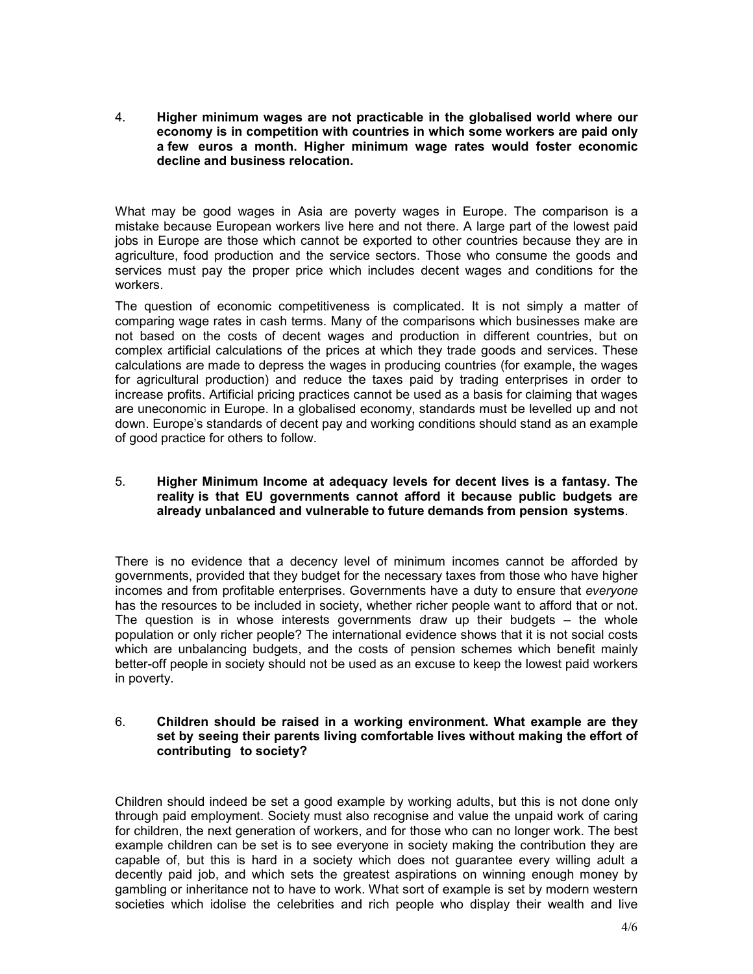4. Higher minimum wages are not practicable in the globalised world where our economy is in competition with countries in which some workers are paid only a few euros a month. Higher minimum wage rates would foster economic decline and business relocation.

What may be good wages in Asia are poverty wages in Europe. The comparison is a mistake because European workers live here and not there. A large part of the lowest paid jobs in Europe are those which cannot be exported to other countries because they are in agriculture, food production and the service sectors. Those who consume the goods and services must pay the proper price which includes decent wages and conditions for the workers.

The question of economic competitiveness is complicated. It is not simply a matter of comparing wage rates in cash terms. Many of the comparisons which businesses make are not based on the costs of decent wages and production in different countries, but on complex artificial calculations of the prices at which they trade goods and services. These calculations are made to depress the wages in producing countries (for example, the wages for agricultural production) and reduce the taxes paid by trading enterprises in order to increase profits. Artificial pricing practices cannot be used as a basis for claiming that wages are uneconomic in Europe. In a globalised economy, standards must be levelled up and not down. Europe's standards of decent pay and working conditions should stand as an example of good practice for others to follow.

# 5. Higher Minimum Income at adequacy levels for decent lives is a fantasy. The reality is that EU governments cannot afford it because public budgets are already unbalanced and vulnerable to future demands from pension systems.

There is no evidence that a decency level of minimum incomes cannot be afforded by governments, provided that they budget for the necessary taxes from those who have higher incomes and from profitable enterprises. Governments have a duty to ensure that everyone has the resources to be included in society, whether richer people want to afford that or not. The question is in whose interests governments draw up their budgets – the whole population or only richer people? The international evidence shows that it is not social costs which are unbalancing budgets, and the costs of pension schemes which benefit mainly better-off people in society should not be used as an excuse to keep the lowest paid workers in poverty.

### 6. Children should be raised in a working environment. What example are they set by seeing their parents living comfortable lives without making the effort of contributing to society?

Children should indeed be set a good example by working adults, but this is not done only through paid employment. Society must also recognise and value the unpaid work of caring for children, the next generation of workers, and for those who can no longer work. The best example children can be set is to see everyone in society making the contribution they are capable of, but this is hard in a society which does not guarantee every willing adult a decently paid job, and which sets the greatest aspirations on winning enough money by gambling or inheritance not to have to work. What sort of example is set by modern western societies which idolise the celebrities and rich people who display their wealth and live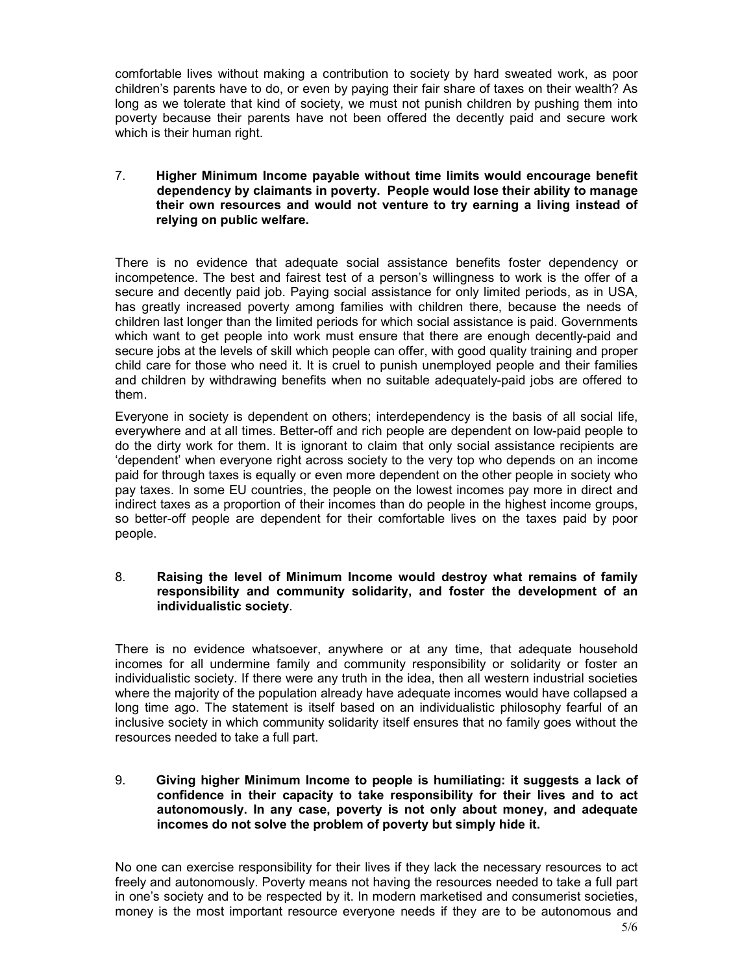comfortable lives without making a contribution to society by hard sweated work, as poor children's parents have to do, or even by paying their fair share of taxes on their wealth? As long as we tolerate that kind of society, we must not punish children by pushing them into poverty because their parents have not been offered the decently paid and secure work which is their human right.

## 7. Higher Minimum Income payable without time limits would encourage benefit dependency by claimants in poverty. People would lose their ability to manage their own resources and would not venture to try earning a living instead of relying on public welfare.

There is no evidence that adequate social assistance benefits foster dependency or incompetence. The best and fairest test of a person's willingness to work is the offer of a secure and decently paid job. Paying social assistance for only limited periods, as in USA, has greatly increased poverty among families with children there, because the needs of children last longer than the limited periods for which social assistance is paid. Governments which want to get people into work must ensure that there are enough decently-paid and secure jobs at the levels of skill which people can offer, with good quality training and proper child care for those who need it. It is cruel to punish unemployed people and their families and children by withdrawing benefits when no suitable adequately-paid jobs are offered to them.

Everyone in society is dependent on others; interdependency is the basis of all social life, everywhere and at all times. Better-off and rich people are dependent on low-paid people to do the dirty work for them. It is ignorant to claim that only social assistance recipients are 'dependent' when everyone right across society to the very top who depends on an income paid for through taxes is equally or even more dependent on the other people in society who pay taxes. In some EU countries, the people on the lowest incomes pay more in direct and indirect taxes as a proportion of their incomes than do people in the highest income groups, so better-off people are dependent for their comfortable lives on the taxes paid by poor people.

## 8. Raising the level of Minimum Income would destroy what remains of family responsibility and community solidarity, and foster the development of an individualistic society.

There is no evidence whatsoever, anywhere or at any time, that adequate household incomes for all undermine family and community responsibility or solidarity or foster an individualistic society. If there were any truth in the idea, then all western industrial societies where the majority of the population already have adequate incomes would have collapsed a long time ago. The statement is itself based on an individualistic philosophy fearful of an inclusive society in which community solidarity itself ensures that no family goes without the resources needed to take a full part.

## 9. Giving higher Minimum Income to people is humiliating: it suggests a lack of confidence in their capacity to take responsibility for their lives and to act autonomously. In any case, poverty is not only about money, and adequate incomes do not solve the problem of poverty but simply hide it.

No one can exercise responsibility for their lives if they lack the necessary resources to act freely and autonomously. Poverty means not having the resources needed to take a full part in one's society and to be respected by it. In modern marketised and consumerist societies, money is the most important resource everyone needs if they are to be autonomous and